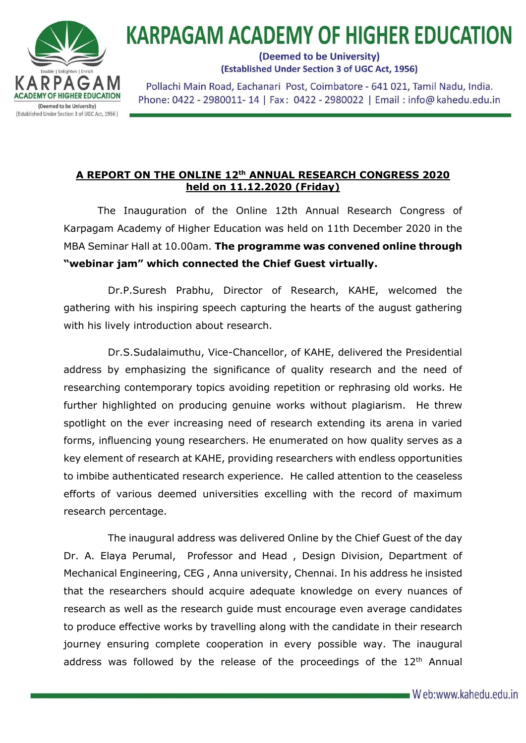

## **KARPAGAM ACADEMY OF HIGHER EDUCATION**

(Deemed to be University) (Established Under Section 3 of UGC Act, 1956)

Pollachi Main Road, Eachanari Post, Coimbatore - 641 021, Tamil Nadu, India. Phone: 0422 - 2980011-14 | Fax: 0422 - 2980022 | Email: info@kahedu.edu.in

## **A REPORT ON THE ONLINE 12th ANNUAL RESEARCH CONGRESS 2020 held on 11.12.2020 (Friday)**

 The Inauguration of the Online 12th Annual Research Congress of Karpagam Academy of Higher Education was held on 11th December 2020 in the MBA Seminar Hall at 10.00am. **The programme was convened online through "webinar jam" which connected the Chief Guest virtually.**

 Dr.P.Suresh Prabhu, Director of Research, KAHE, welcomed the gathering with his inspiring speech capturing the hearts of the august gathering with his lively introduction about research.

 Dr.S.Sudalaimuthu, Vice-Chancellor, of KAHE, delivered the Presidential address by emphasizing the significance of quality research and the need of researching contemporary topics avoiding repetition or rephrasing old works. He further highlighted on producing genuine works without plagiarism. He threw spotlight on the ever increasing need of research extending its arena in varied forms, influencing young researchers. He enumerated on how quality serves as a key element of research at KAHE, providing researchers with endless opportunities to imbibe authenticated research experience. He called attention to the ceaseless efforts of various deemed universities excelling with the record of maximum research percentage.

 The inaugural address was delivered Online by the Chief Guest of the day Dr. A. Elaya Perumal, Professor and Head , Design Division, Department of Mechanical Engineering, CEG , Anna university, Chennai. In his address he insisted that the researchers should acquire adequate knowledge on every nuances of research as well as the research guide must encourage even average candidates to produce effective works by travelling along with the candidate in their research journey ensuring complete cooperation in every possible way. The inaugural address was followed by the release of the proceedings of the  $12<sup>th</sup>$  Annual